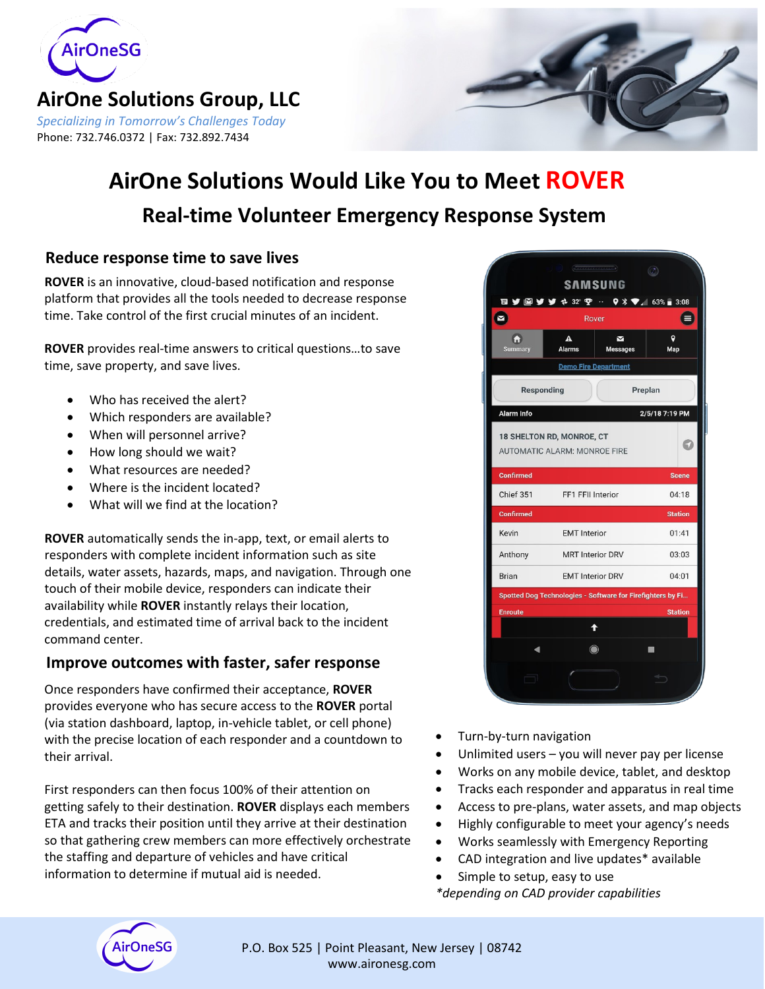

## **AirOne Solutions Group, LLC** *Specializing in Tomorrow's Challenges Today*

Phone: 732.746.0372 | Fax: 732.892.7434



# **Real-time Volunteer Emergency Response System AirOne Solutions Would Like You to Meet ROVER**

## **Reduce response time to save lives**

**ROVER** is an innovative, cloud-based notification and response platform that provides all the tools needed to decrease response time. Take control of the first crucial minutes of an incident.

**ROVER** provides real-time answers to critical questions…to save time, save property, and save lives.

- Who has received the alert?
- Which responders are available?
- When will personnel arrive?
- How long should we wait?
- What resources are needed?
- Where is the incident located?
- What will we find at the location?

**ROVER** automatically sends the in-app, text, or email alerts to responders with complete incident information such as site details, water assets, hazards, maps, and navigation. Through one touch of their mobile device, responders can indicate their availability while **ROVER** instantly relays their location, credentials, and estimated time of arrival back to the incident command center.

## **Improve outcomes with faster, safer response**

Once responders have confirmed their acceptance, **ROVER** provides everyone who has secure access to the **ROVER** portal (via station dashboard, laptop, in-vehicle tablet, or cell phone) with the precise location of each responder and a countdown to their arrival.

First responders can then focus 100% of their attention on getting safely to their destination. **ROVER** displays each members ETA and tracks their position until they arrive at their destination so that gathering crew members can more effectively orchestrate the staffing and departure of vehicles and have critical information to determine if mutual aid is needed.



- Turn-by-turn navigation
- Unlimited users  $-$  you will never pay per license
- Works on any mobile device, tablet, and desktop
- Tracks each responder and apparatus in real time
- Access to pre-plans, water assets, and map objects
- Highly configurable to meet your agency's needs
- Works seamlessly with Emergency Reporting
- CAD integration and live updates\* available
- Simple to setup, easy to use
- *\*depending on CAD provider capabilities*